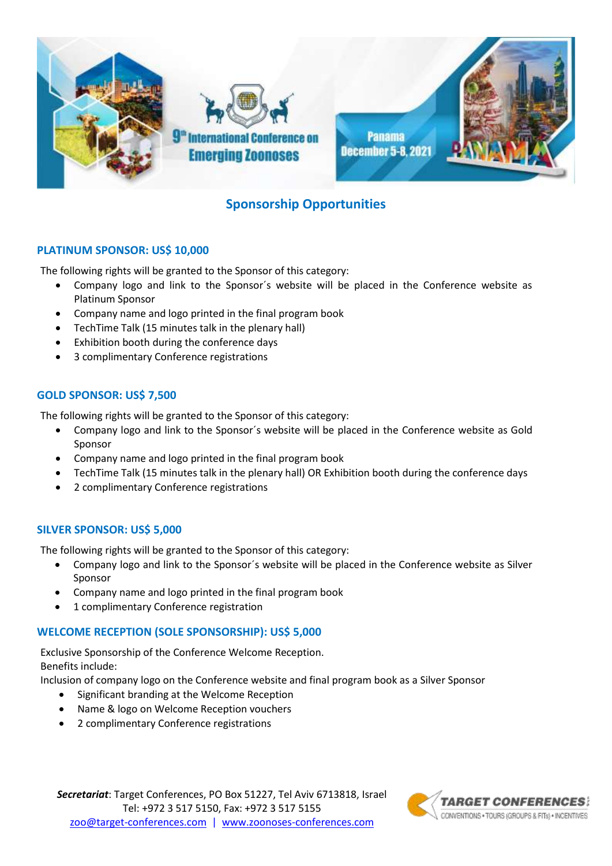

# **Sponsorship Opportunities**

# **PLATINUM SPONSOR: US\$ 10,000**

The following rights will be granted to the Sponsor of this category:

- Company logo and link to the Sponsor´s website will be placed in the Conference website as Platinum Sponsor
- Company name and logo printed in the final program book
- TechTime Talk (15 minutes talk in the plenary hall)
- Exhibition booth during the conference days
- 3 complimentary Conference registrations

# **GOLD SPONSOR: US\$ 7,500**

The following rights will be granted to the Sponsor of this category:

- Company logo and link to the Sponsor´s website will be placed in the Conference website as Gold Sponsor
- Company name and logo printed in the final program book
- TechTime Talk (15 minutes talk in the plenary hall) OR Exhibition booth during the conference days
- 2 complimentary Conference registrations

# **SILVER SPONSOR: US\$ 5,000**

The following rights will be granted to the Sponsor of this category:

- Company logo and link to the Sponsor´s website will be placed in the Conference website as Silver Sponsor
- Company name and logo printed in the final program book
- 1 complimentary Conference registration

# **WELCOME RECEPTION (SOLE SPONSORSHIP): US\$ 5,000**

Exclusive Sponsorship of the Conference Welcome Reception. Benefits include:

Inclusion of company logo on the Conference website and final program book as a Silver Sponsor

- Significant branding at the Welcome Reception
- Name & logo on Welcome Reception vouchers
- 2 complimentary Conference registrations

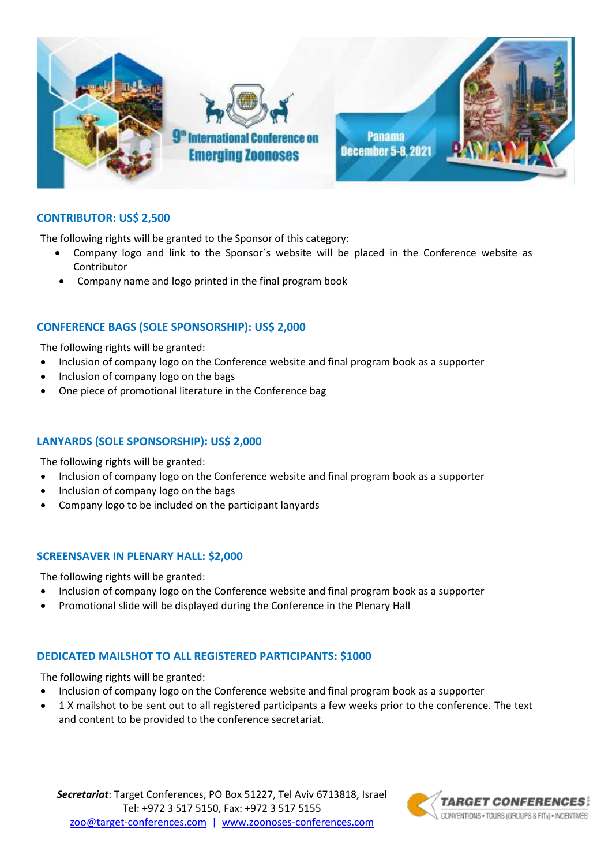

# **CONTRIBUTOR: US\$ 2,500**

The following rights will be granted to the Sponsor of this category:

- Company logo and link to the Sponsor´s website will be placed in the Conference website as Contributor
- Company name and logo printed in the final program book

#### **CONFERENCE BAGS (SOLE SPONSORSHIP): US\$ 2,000**

The following rights will be granted:

- Inclusion of company logo on the Conference website and final program book as a supporter
- Inclusion of company logo on the bags
- One piece of promotional literature in the Conference bag

#### **LANYARDS (SOLE SPONSORSHIP): US\$ 2,000**

The following rights will be granted:

- Inclusion of company logo on the Conference website and final program book as a supporter
- Inclusion of company logo on the bags
- Company logo to be included on the participant lanyards

#### **SCREENSAVER IN PLENARY HALL: \$2,000**

The following rights will be granted:

- Inclusion of company logo on the Conference website and final program book as a supporter
- Promotional slide will be displayed during the Conference in the Plenary Hall

#### **DEDICATED MAILSHOT TO ALL REGISTERED PARTICIPANTS: \$1000**

The following rights will be granted:

- Inclusion of company logo on the Conference website and final program book as a supporter
- 1 X mailshot to be sent out to all registered participants a few weeks prior to the conference. The text and content to be provided to the conference secretariat.